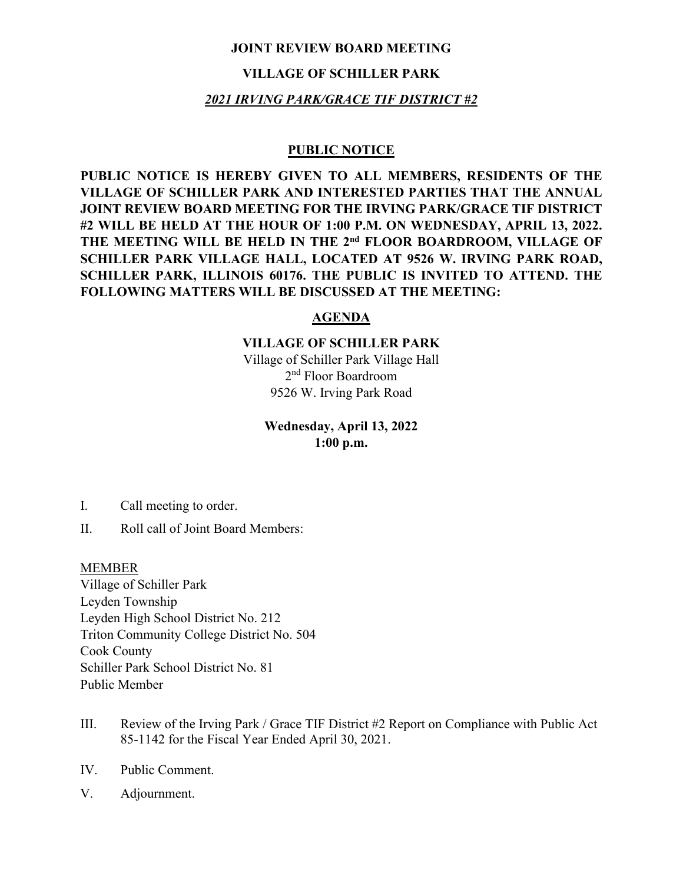#### **JOINT REVIEW BOARD MEETING**

# **VILLAGE OF SCHILLER PARK**

# *2021 IRVING PARK/GRACE TIF DISTRICT #2*

#### **PUBLIC NOTICE**

**PUBLIC NOTICE IS HEREBY GIVEN TO ALL MEMBERS, RESIDENTS OF THE VILLAGE OF SCHILLER PARK AND INTERESTED PARTIES THAT THE ANNUAL JOINT REVIEW BOARD MEETING FOR THE IRVING PARK/GRACE TIF DISTRICT #2 WILL BE HELD AT THE HOUR OF 1:00 P.M. ON WEDNESDAY, APRIL 13, 2022. THE MEETING WILL BE HELD IN THE 2nd FLOOR BOARDROOM, VILLAGE OF SCHILLER PARK VILLAGE HALL, LOCATED AT 9526 W. IRVING PARK ROAD, SCHILLER PARK, ILLINOIS 60176. THE PUBLIC IS INVITED TO ATTEND. THE FOLLOWING MATTERS WILL BE DISCUSSED AT THE MEETING:**

# **AGENDA**

# **VILLAGE OF SCHILLER PARK**

Village of Schiller Park Village Hall 2nd Floor Boardroom 9526 W. Irving Park Road

# **Wednesday, April 13, 2022 1:00 p.m.**

- I. Call meeting to order.
- II. Roll call of Joint Board Members:

#### MEMBER

Village of Schiller Park Leyden Township Leyden High School District No. 212 Triton Community College District No. 504 Cook County Schiller Park School District No. 81 Public Member

- III. Review of the Irving Park / Grace TIF District #2 Report on Compliance with Public Act 85-1142 for the Fiscal Year Ended April 30, 2021.
- IV. Public Comment.
- V. Adjournment.